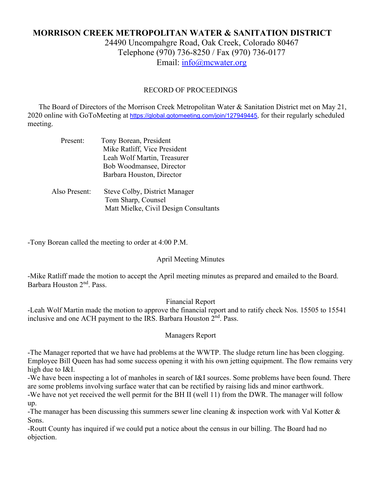# **MORRISON CREEK METROPOLITAN WATER & SANITATION DISTRICT**

24490 Uncompahgre Road, Oak Creek, Colorado 80467 Telephone (970) 736-8250 / Fax (970) 736-0177 Email: [info@mcwater.org](mailto:info@mcwater.org)

### RECORD OF PROCEEDINGS

 The Board of Directors of the Morrison Creek Metropolitan Water & Sanitation District met on May 21, 2020 online with GoToMeeting at [https://global.gotomeeting.com/join/127949445,](https://global.gotomeeting.com/join/127949445) for their regularly scheduled meeting.

| Present:      | Tony Borean, President                |
|---------------|---------------------------------------|
|               | Mike Ratliff, Vice President          |
|               | Leah Wolf Martin, Treasurer           |
|               | Bob Woodmansee, Director              |
|               | Barbara Houston, Director             |
| Also Present: | <b>Steve Colby, District Manager</b>  |
|               | Tom Sharp, Counsel                    |
|               | Matt Mielke, Civil Design Consultants |
|               |                                       |

-Tony Borean called the meeting to order at 4:00 P.M.

## April Meeting Minutes

-Mike Ratliff made the motion to accept the April meeting minutes as prepared and emailed to the Board. Barbara Houston 2nd. Pass.

Financial Report

-Leah Wolf Martin made the motion to approve the financial report and to ratify check Nos. 15505 to 15541 inclusive and one ACH payment to the IRS. Barbara Houston 2<sup>nd</sup>. Pass.

#### Managers Report

-The Manager reported that we have had problems at the WWTP. The sludge return line has been clogging. Employee Bill Queen has had some success opening it with his own jetting equipment. The flow remains very high due to I&I.

-We have been inspecting a lot of manholes in search of I&I sources. Some problems have been found. There are some problems involving surface water that can be rectified by raising lids and minor earthwork.

-We have not yet received the well permit for the BH II (well 11) from the DWR. The manager will follow up.

-The manager has been discussing this summers sewer line cleaning & inspection work with Val Kotter & Sons.

-Routt County has inquired if we could put a notice about the census in our billing. The Board had no objection.